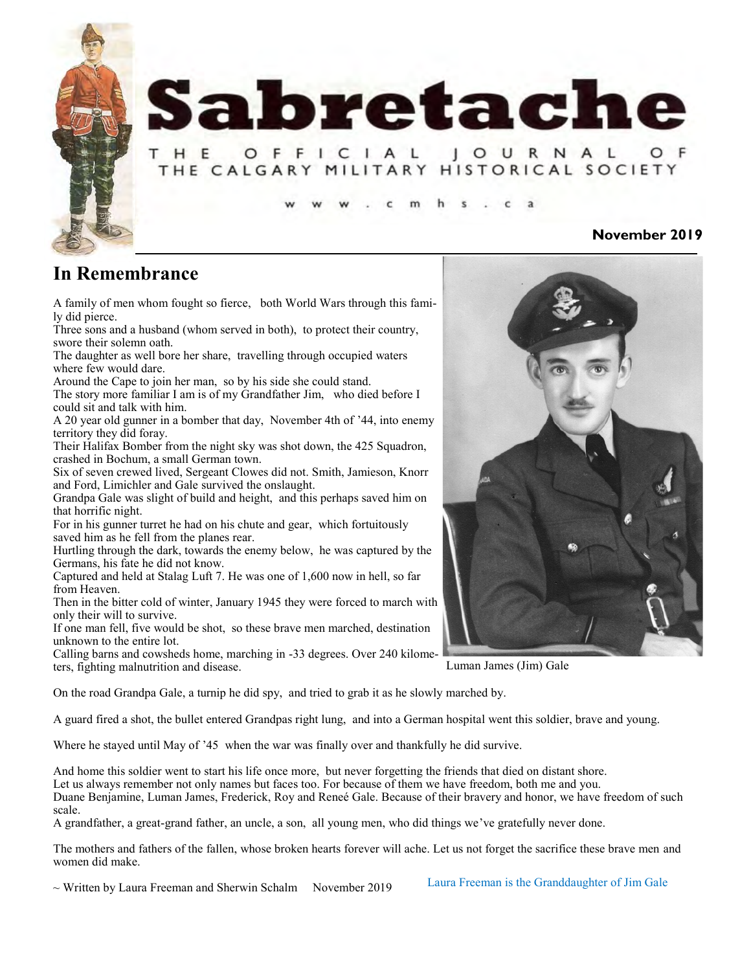

## **In Remembrance**

A family of men whom fought so fierce, both World Wars through this family did pierce.

Three sons and a husband (whom served in both), to protect their country, swore their solemn oath.

The daughter as well bore her share, travelling through occupied waters where few would dare.

Around the Cape to join her man, so by his side she could stand.

The story more familiar I am is of my Grandfather Jim, who died before I could sit and talk with him.

A 20 year old gunner in a bomber that day, November 4th of '44, into enemy territory they did foray.

Their Halifax Bomber from the night sky was shot down, the 425 Squadron, crashed in Bochum, a small German town.

Six of seven crewed lived, Sergeant Clowes did not. Smith, Jamieson, Knorr and Ford, Limichler and Gale survived the onslaught.

Grandpa Gale was slight of build and height, and this perhaps saved him on that horrific night.

For in his gunner turret he had on his chute and gear, which fortuitously saved him as he fell from the planes rear.

Hurtling through the dark, towards the enemy below, he was captured by the Germans, his fate he did not know.

Captured and held at Stalag Luft 7. He was one of 1,600 now in hell, so far from Heaven.

Then in the bitter cold of winter, January 1945 they were forced to march with only their will to survive.

If one man fell, five would be shot, so these brave men marched, destination unknown to the entire lot.

Calling barns and cowsheds home, marching in -33 degrees. Over 240 kilometers, fighting malnutrition and disease.

On the road Grandpa Gale, a turnip he did spy, and tried to grab it as he slowly marched by.

A guard fired a shot, the bullet entered Grandpas right lung, and into a German hospital went this soldier, brave and young.

Where he stayed until May of '45 when the war was finally over and thankfully he did survive.

And home this soldier went to start his life once more, but never forgetting the friends that died on distant shore. Let us always remember not only names but faces too. For because of them we have freedom, both me and you. Duane Benjamine, Luman James, Frederick, Roy and Reneé Gale. Because of their bravery and honor, we have freedom of such scale.

A grandfather, a great-grand father, an uncle, a son, all young men, who did things we've gratefully never done.

The mothers and fathers of the fallen, whose broken hearts forever will ache. Let us not forget the sacrifice these brave men and women did make.

 $\sim$  Written by Laura Freeman and Sherwin Schalm November 2019

Laura Freeman is the Granddaughter of Jim Gale



Luman James (Jim) Gale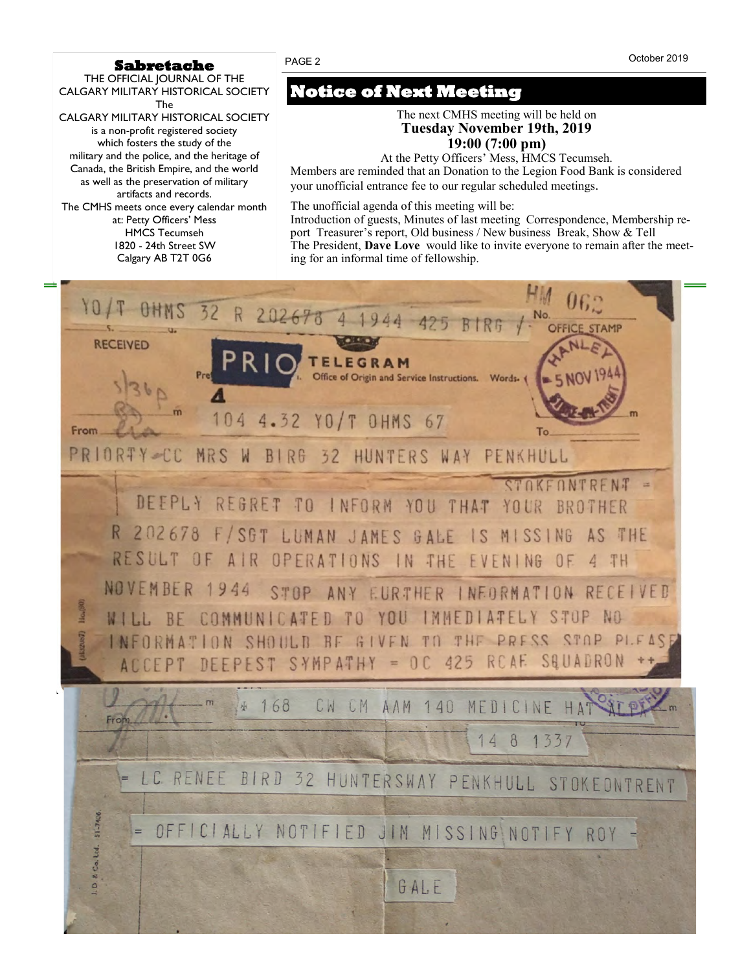#### **Sabretache**

THE OFFICIAL JOURNAL OF THE CALGARY MILITARY HISTORICAL SOCIETY The CALGARY MILITARY HISTORICAL SOCIETY is a non-profit registered society which fosters the study of the military and the police, and the heritage of Canada, the British Empire, and the world as well as the preservation of military artifacts and records. The CMHS meets once every calendar month at: Petty Officers' Mess HMCS Tecumseh 1820 - 24th Street SW

# Calgary AB T2T 0G6

## **Notice of Next Meeting**

The next CMHS meeting will be held on **Tuesday November 19th, 2019 19:00 (7:00 pm)**

At the Petty Officers' Mess, HMCS Tecumseh. Members are reminded that an Donation to the Legion Food Bank is considered

your unofficial entrance fee to our regular scheduled meetings*.*

The unofficial agenda of this meeting will be:

Introduction of guests, Minutes of last meeting Correspondence, Membership report Treasurer's report, Old business / New business Break, Show & Tell The President, **Dave Love** would like to invite everyone to remain after the meeting for an informal time of fellowship.

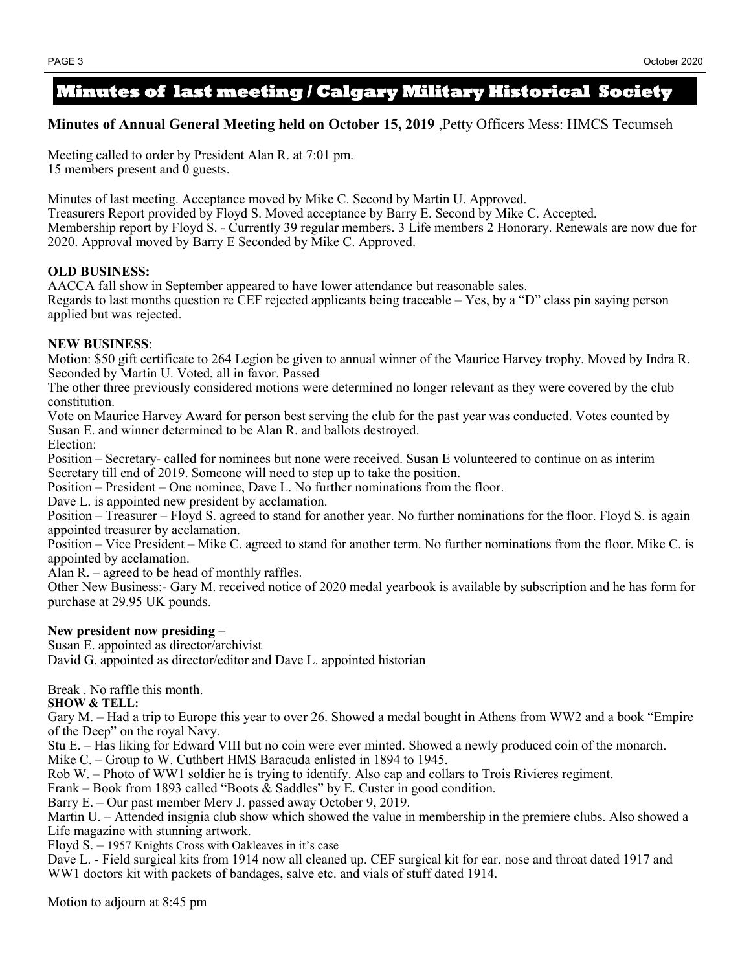### **Minutes of last meeting / Calgary Military Historical Society**

### **Minutes of Annual General Meeting held on October 15, 2019** ,Petty Officers Mess: HMCS Tecumseh

Meeting called to order by President Alan R. at 7:01 pm. 15 members present and 0 guests.

Minutes of last meeting. Acceptance moved by Mike C. Second by Martin U. Approved.

Treasurers Report provided by Floyd S. Moved acceptance by Barry E. Second by Mike C. Accepted. Membership report by Floyd S. - Currently 39 regular members. 3 Life members 2 Honorary. Renewals are now due for 2020. Approval moved by Barry E Seconded by Mike C. Approved.

### **OLD BUSINESS:**

AACCA fall show in September appeared to have lower attendance but reasonable sales.

Regards to last months question re CEF rejected applicants being traceable – Yes, by a "D" class pin saying person applied but was rejected.

### **NEW BUSINESS**:

Motion: \$50 gift certificate to 264 Legion be given to annual winner of the Maurice Harvey trophy. Moved by Indra R. Seconded by Martin U. Voted, all in favor. Passed

The other three previously considered motions were determined no longer relevant as they were covered by the club constitution.

Vote on Maurice Harvey Award for person best serving the club for the past year was conducted. Votes counted by Susan E. and winner determined to be Alan R. and ballots destroyed. Election:

Position – Secretary- called for nominees but none were received. Susan E volunteered to continue on as interim Secretary till end of 2019. Someone will need to step up to take the position.

Position – President – One nominee, Dave L. No further nominations from the floor.

Dave L. is appointed new president by acclamation.

Position – Treasurer – Floyd S. agreed to stand for another year. No further nominations for the floor. Floyd S. is again appointed treasurer by acclamation.

Position – Vice President – Mike C. agreed to stand for another term. No further nominations from the floor. Mike C. is appointed by acclamation.

Alan R. – agreed to be head of monthly raffles.

Other New Business:- Gary M. received notice of 2020 medal yearbook is available by subscription and he has form for purchase at 29.95 UK pounds.

### **New president now presiding –**

Susan E. appointed as director/archivist

David G. appointed as director/editor and Dave L. appointed historian

Break . No raffle this month.

**SHOW & TELL:**

Gary M. – Had a trip to Europe this year to over 26. Showed a medal bought in Athens from WW2 and a book "Empire of the Deep" on the royal Navy.

Stu E. – Has liking for Edward VIII but no coin were ever minted. Showed a newly produced coin of the monarch.

Mike C. – Group to W. Cuthbert HMS Baracuda enlisted in 1894 to 1945.

Rob W. – Photo of WW1 soldier he is trying to identify. Also cap and collars to Trois Rivieres regiment.

Frank – Book from 1893 called "Boots & Saddles" by E. Custer in good condition.

Barry E. – Our past member Merv J. passed away October 9, 2019.

Martin U. – Attended insignia club show which showed the value in membership in the premiere clubs. Also showed a Life magazine with stunning artwork.

Floyd S. – 1957 Knights Cross with Oakleaves in it's case

Dave L. - Field surgical kits from 1914 now all cleaned up. CEF surgical kit for ear, nose and throat dated 1917 and WW1 doctors kit with packets of bandages, salve etc. and vials of stuff dated 1914.

Motion to adjourn at 8:45 pm